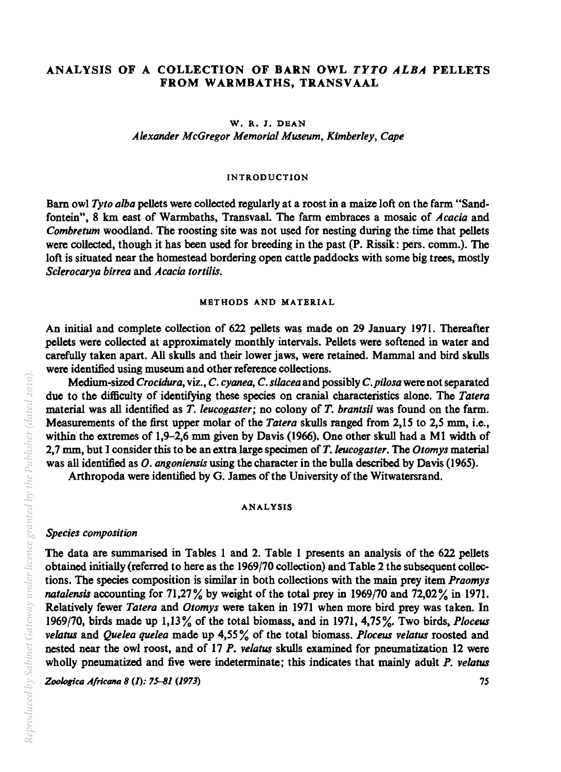## ANALYSIS OF A COLLECTION OF BARN OWL *TYTO ALBA* PELLETS FROM WARMBATHS, TRANSVAAL

W. R. J. DEAN *Alexander McGregor Memorial Museum, Kimberley, Cape* 

#### INTRODUCTION

Barn owl *Tyto alba* pellets were collected regularly at a roost in a maize loft on the farm "Sandfontein", 8 km east of Warmbaths, Transvaal. The farm embraces a mosaic of *Acacia* and *Combretum* woodland. The roosting site was not used for nesting during the time that pellets were collected, though it has been used for breeding in the past (P. Rissik: pers. comm.). The loft is situated near the homestead bordering open cattle paddocks with some big trees, mostly *Sc1erocarya birrea* and *Acacia tortilis.* 

## METHODS AND MATERIAL

An initial and complete collection of 622 pellets was made on 29 January 1971. Thereafter pellets were collected at approximately monthly intervals. Pellets were softened in water and carefully taken apart. All skulls and their lower jaws, were retained. Mammal and bird skulls were identified using museum and other reference collections.

Medium-sized *Crocidura,* viz., C. *cyonea,* C. *silacea* and possibly *C.pilosa* were not separated due to the difficulty of identifying these species on cranial characteristics alone. The *Tatera*  material was all identified as *T. leucogaster;* no colony of *T. brantsii* was found on the farm. Measurements of the first upper molar of the *Tatera* skulls ranged from 2,15 to 2,5 mm, i.e., within the extremes of 1,9-2,6 mm given by Davis (1966). One other skull had a Ml width of 2,7 mm, but I consider this to be an extra large specimen of *T.leucogaster.* The *Otomys* material was all identified as *O. angoniensis* using the character in the bulla described by Davis (1965).

Arthropoda were identified by G. James of the University of the Witwatersrand.

#### ANALYSIS

### *Species composition*

The data are summarised in Tables 1 and 2. Table 1 presents an analysis of the 622 pellets obtained initially (referred to here as the 1969/70 collection) and Table 2 the subsequent collections. The species composition is similar in both collections with the main prey item *Praomys natalensis* accounting for  $71,27\%$  by weight of the total prey in 1969/70 and  $72,02\%$  in 1971. Relatively fewer *Tatera* and *Otomys* were taken in 1971 when more bird prey was taken. In 1969/70, birds made up 1,13 % of the total biomass, and in 1971, 4,75 %. Two birds, *P loceus velatus* and *Quelea quelea* made up 4,55% of the total biomass. *Ploceus velatus* roosted and nested near the owl roost, and of 17 *P. velatus* skulls examined for pneumatization 12 were wholly pneumatized and five were indeterminate; this indicates that mainly adult *P. velatus* 

Zoologica Africana 8 (1): 75-81 (1973) *75 75*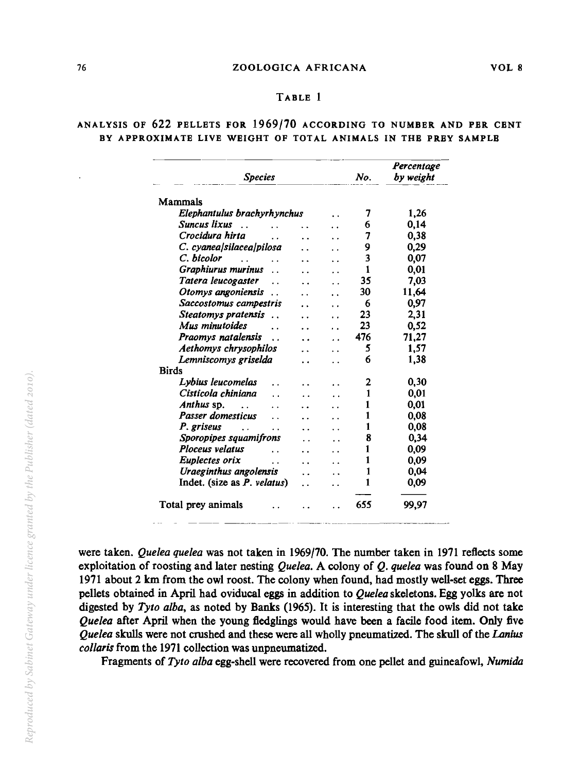## TABLE 1

## ANALYSIS OF 622 PELLETS FOR 1969/10 ACCORDING TO NUMBER AND PER CENT BY APPROXIMATE LIVE WEIGHT OF TOTAL ANIMALS IN THE PREY SAMPLE

| <b>Species</b>                              |     |     | No. | Percentage<br>by weight |
|---------------------------------------------|-----|-----|-----|-------------------------|
| <b>Mammals</b>                              |     |     |     |                         |
| Elephantulus brachyrhynchus                 |     |     | 7   | 1,26                    |
| Suncus lixus                                |     |     | 6   | 0.14                    |
| Crocidura hirta                             |     |     | 7   | 0.38                    |
| C. cyanea/silacea/pilosa                    |     |     | 9   | 0,29                    |
| C. bicolor                                  |     |     | 3   | 0,07                    |
| Graphiurus murinus<br>$\ddot{\phantom{a}}$  |     |     | 1   | 0.01                    |
| Tatera leucogaster<br>$\ddot{\phantom{a}}$  |     |     | 35  | 7.03                    |
| Otomys angoniensis<br>$\ddot{\phantom{1}}$  |     | . . | 30  | 11,64                   |
| Saccostomus campestris                      | . . | . . | 6   | 0.97                    |
| Steatomys pratensis<br>$\ddot{\phantom{a}}$ | . . |     | 23  | 2,31                    |
| Mus minutoides                              |     |     | 23  | 0,52                    |
| Praomys natalensis<br>$\ddot{\phantom{1}}$  |     |     | 476 | 71,27                   |
| Aethomys chrysophilos                       |     |     | 5   | 1,57                    |
| Lemniscomys griselda                        | . . |     | 6   | 1,38                    |
| <b>Birds</b>                                |     |     |     |                         |
| Lybius leucomelas                           |     |     | 2   | 0,30                    |
| Cisticola chiniana                          |     |     | 1   | 0.01                    |
| Anthus sp.                                  |     |     | 1   | 0.01                    |
| <b>Passer domesticus</b>                    |     |     | 1   | 0.08                    |
| P. griseus                                  |     |     | 1   | 0,08                    |
| Sporopipes squamifrons                      |     |     | 8   | 0.34                    |
| <b>Ploceus velatus</b>                      |     |     | 1   | 0.09                    |
| Euplectes orix<br>. .                       | . . |     | 1   | 0,09                    |
| Uraeginthus angolensis                      | . . |     | 1   | 0.04                    |
| Indet. (size as P. velatus)                 | . . |     | 1   | 0,09                    |
| Total prey animals                          |     |     | 655 | 99,97                   |

were taken. *Quelea quelea* was not taken in 1969/70. The number taken in 1971 reflects some exploitation of roosting and later nesting *Quelea.* A colony of *Q. quelea* was found on 8 May 1971 about 2 km from the owl roost. The colony when found, had mostly well-set eggs. Three pellets obtained in April had oviducal eggs in addition to *Quelea* skeletons. Egg yolks are not digested by *Tyto alba,* as noted by Banks (1965). It is interesting that the owls did not take *Quelea* after April when the young fledglings would have been a facile food item. Only five *Quelea* skulls were not crushed and these were all wholly pneumatized. The skull of the *Lanius collaris* from the 1971 collection was unpneumatized.

Fragments of *Tyto alba* egg-shell were recovered from one pellet and guineafowl, *Numida*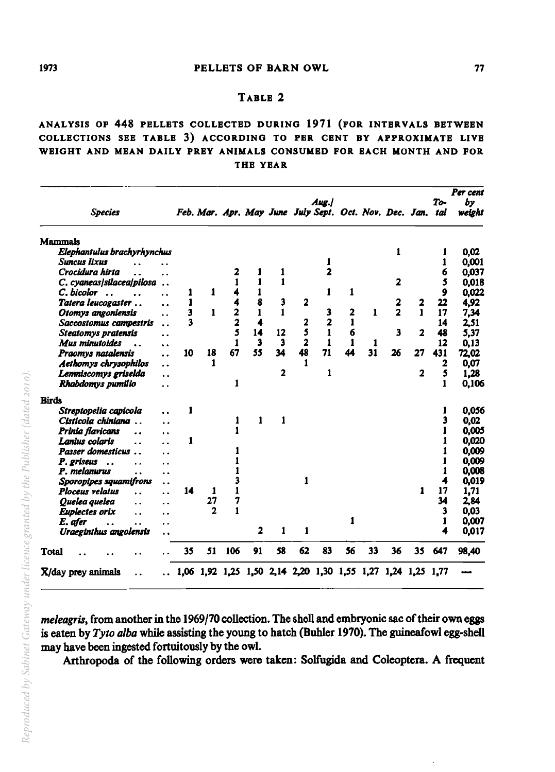#### 1973 **PELLETS OF BARN OWL 77**

## TABLE 2

# ANALYSIS OF 448 PELLETS COLLECTED DURING 1971 (FOR INTERVALS BETWEEN COLLECTIONS SEE TABLE 3) ACCORDING TO PER CENT BY APPROXIMATE LIVE WEIGHT AND MEAN DAILY PREY ANIMALS CONSUMED FOR EACH MONTH AND FOR THE YEAR

| <b>Species</b>                                                           |    | Feb. Mar. Apr. May June July Sept. Oct. Nov. Dec. Jan. tal  |     |                |                         |                | Aug./          |    |    |                         |                         | To-          | Per cent<br>bv<br>weight |
|--------------------------------------------------------------------------|----|-------------------------------------------------------------|-----|----------------|-------------------------|----------------|----------------|----|----|-------------------------|-------------------------|--------------|--------------------------|
| <b>Mammals</b>                                                           |    |                                                             |     |                |                         |                |                |    |    |                         |                         |              |                          |
| Elephantulus brachyrhynchus                                              |    |                                                             |     |                |                         |                |                |    |    | 1                       |                         | 1            | 0.02                     |
| <b>Suncus lixus</b>                                                      |    |                                                             |     |                |                         |                | 1              |    |    |                         |                         | 1            | 0,001                    |
| Crocidura hirta<br>. .                                                   |    |                                                             | 2   | 1              | 1                       |                | $\overline{2}$ |    |    |                         |                         | 6            | 0,037                    |
| C. cyaneas/silacea/pilosa<br>$\ddot{\phantom{a}}$                        |    |                                                             | 1   | 1              | 1                       |                |                |    |    | $\overline{\mathbf{2}}$ |                         | 5            | 0,018                    |
| C. bicolor<br>$\ddot{\phantom{a}}$<br>$\ddot{\phantom{0}}$               | 1  | 1                                                           | 4   | 1              |                         |                | 1              | 1  |    |                         |                         | 9            | 0,022                    |
| Tatera leucogaster<br>$\ddot{\phantom{a}}$                               | 1  |                                                             | 4   | 8              | 3                       | $\overline{2}$ |                |    |    | 2                       | 2                       | 22           | 4.92                     |
| Otomys angoniensis<br>. .                                                | 3  | 1                                                           | 2   | 1              | 1                       |                | 3              | 2  | 1  | $\overline{a}$          | 1                       | 17           | 7.34                     |
| Saccostomus campestris<br>. .                                            | 3  |                                                             | 2   | 4              |                         | 2              | 2              | 1  |    |                         |                         | 14           | 2,51                     |
| Steatomys pratensis<br>$\ddot{\phantom{a}}$                              |    |                                                             | 5   | 14             | 12                      | 5              | $\mathbf{1}$   | 6  |    | 3                       | $\overline{\mathbf{z}}$ | 48           | 5,37                     |
| Mus minutoides<br>$\ddot{\phantom{0}}$                                   |    |                                                             | 1   | 3              | 3                       | $\overline{2}$ | 1              | 1  | 1  |                         |                         | 12           | 0.13                     |
| Praomys natalensis<br>$\ddot{\phantom{a}}$                               | 10 | 18                                                          | 67  | 55             | 34                      | 48             | 71             | 44 | 31 | 26                      | 27                      | 431          | 72,02                    |
| Aethomys chrysophilos<br>$\ddot{\phantom{0}}$                            |    | 1                                                           |     |                |                         | 1              |                |    |    |                         |                         | $\mathbf{2}$ | 0,07                     |
| Lemniscomys griselda<br>. .                                              |    |                                                             |     |                | $\overline{\mathbf{2}}$ |                | 1              |    |    |                         | $\mathbf{z}$            | 5            | 1,28                     |
| Rhabdomys pumilio<br>. .                                                 |    |                                                             | 1   |                |                         |                |                |    |    |                         |                         | 1            | 0,106                    |
| <b>Birds</b>                                                             |    |                                                             |     |                |                         |                |                |    |    |                         |                         |              |                          |
| Streptopelia capicola<br>š.                                              | 1  |                                                             |     |                |                         |                |                |    |    |                         |                         | 1            | 0,056                    |
| Cisticola chiniana<br>$\ddot{\phantom{a}}$<br>$\ddot{\phantom{0}}$       |    |                                                             | 1   | 1              | $\mathbf{1}$            |                |                |    |    |                         |                         | 3            | 0,02                     |
| Prinia flavicans<br>$\ddot{\phantom{a}}$<br>. .                          |    |                                                             | 1   |                |                         |                |                |    |    |                         |                         |              | 0.005                    |
| Lanius colaris<br>. .<br>. .                                             | 1  |                                                             |     |                |                         |                |                |    |    |                         |                         |              | 0,020                    |
| <b>Passer domesticus</b><br>$\ddot{\phantom{a}}$<br>$\ddot{\phantom{0}}$ |    |                                                             |     |                |                         |                |                |    |    |                         |                         | 1            | 0,009                    |
| P. griseus<br>$\ddotsc$<br>. .                                           |    |                                                             |     |                |                         |                |                |    |    |                         |                         |              | 0,009                    |
| P. melanurus<br>. .                                                      |    |                                                             |     |                |                         |                |                |    |    |                         |                         | 1            | 0,008                    |
| Sporopipes squamifrons<br>$\ddot{\phantom{0}}$                           |    |                                                             |     |                |                         | 1              |                |    |    |                         |                         |              | 0,019                    |
| Ploceus velatus<br>. .<br>. .                                            | 14 | 1                                                           | 1   |                |                         |                |                |    |    |                         | 1                       | 17           | 1.71                     |
| Quelea quelea<br>$\ddot{\phantom{0}}$<br>. .                             |    | 27                                                          | 7   |                |                         |                |                |    |    |                         |                         | 34           | 2.84                     |
| Euplectes orix<br>. .                                                    |    | $\overline{2}$                                              | 1   |                |                         |                |                |    |    |                         |                         | 3            | 0,03                     |
| E. afer<br>$\ddot{\phantom{1}}$<br>. .                                   |    |                                                             |     |                |                         |                |                | 1  |    |                         |                         | 1            | 0,007                    |
| Uraeginthus angolensis                                                   |    |                                                             |     | $\overline{2}$ | 1                       | 1              |                |    |    |                         |                         | 4            | 0,017                    |
| <b>Total</b>                                                             | 35 | 51                                                          | 106 | 91             | 58                      | 62             | 83             | 56 | 33 | 36                      | 35                      | 647          | 98,40                    |
| X/day prey animals                                                       |    | 1,06 1,92 1,25 1,50 2,14 2,20 1,30 1,55 1,27 1,24 1,25 1,77 |     |                |                         |                |                |    |    |                         |                         |              |                          |

*meleagris,* from another in the 1969/70 collection. The shell and embryonic sac of their own eggs is eaten by *Tyto alba* while assisting the young to hatch (Buhler 1970). The guineafowl egg-shell may have been ingested fortuitously by the owl.

Arthropoda of the following orders were taken: Solfugida and Coleoptera. A frequent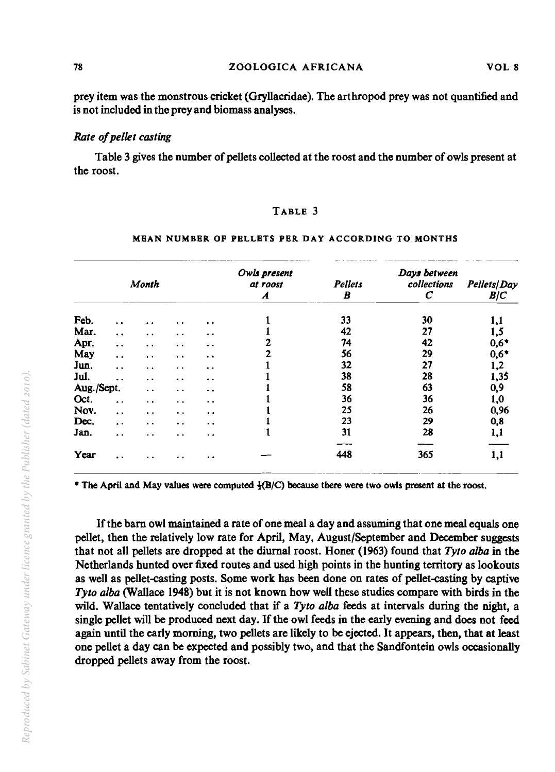78 ZOOLOGICA AFRICANA VOL 8

prey item was the monstrous cricket (Gryllacridae). The arthropod prey was not quantified and is not included in the prey and biomass analyses.

## *Rate o/pellet casting*

Table 3 gives the number of pellets collected at the roost and the number of owls present at the roost.

## TABLE 3

|            |                      | Month                 |                      |                      | Owls present<br>at roost<br>A | <b>Pellets</b><br>B | Days between<br>collections<br>С | Pellets   Day<br>B/C |
|------------|----------------------|-----------------------|----------------------|----------------------|-------------------------------|---------------------|----------------------------------|----------------------|
| Feb.       | $\ddot{\phantom{a}}$ | $\ddot{\phantom{0}}$  | $\ddot{\phantom{1}}$ | $\cdot$ .            |                               | 33                  | 30                               | 1,1                  |
| Mar.       | $\ddot{\phantom{0}}$ | $\ddot{\phantom{0}}$  | $\ddot{\phantom{a}}$ | $\ddot{\phantom{a}}$ |                               | 42                  | 27                               | 1,5                  |
| Apr.       | $\ddot{\phantom{a}}$ | $\cdot$ $\cdot$       | $\ddot{\phantom{a}}$ | . .                  | 2                             | 74                  | 42                               | $0,6*$               |
| May        | $\ddot{\phantom{a}}$ | $\ddot{\phantom{0}}$  | $\ddot{\phantom{a}}$ | $\ddot{\phantom{a}}$ | 2                             | 56                  | 29                               | $0,6*$               |
| Jun.       | $\ddot{\phantom{a}}$ | $\ddot{\phantom{0}}$  | $\ddot{\phantom{a}}$ | $\ddot{\phantom{a}}$ |                               | 32                  | 27                               | 1,2                  |
| Jul.       | . .                  | $\ddot{\phantom{1}}$  | $\cdot$ $\cdot$      | $\ddot{\phantom{1}}$ |                               | 38                  | 28                               | 1,35                 |
| Aug./Sept. |                      | $\ddot{\phantom{a}}$  | $\ddot{\phantom{a}}$ | $\ddot{\phantom{a}}$ |                               | 58                  | 63                               | 0,9                  |
| Oct.       | $\ddot{\phantom{1}}$ | $\ddot{\phantom{1}}$  | $\ddot{\phantom{a}}$ | $\bullet$            |                               | 36                  | 36                               | 1,0                  |
| Nov.       | $\ddot{\phantom{0}}$ | $\ddot{\phantom{a}}$  | $\ddot{\phantom{0}}$ | $\bullet$            |                               | 25                  | 26                               | 0,96                 |
| Dec.       | $\ddot{\phantom{1}}$ | $\bullet$ . $\bullet$ | $\ddot{\phantom{1}}$ | $\ddot{\phantom{0}}$ |                               | 23                  | 29                               | 0,8                  |
| Jan.       | $\ddot{\phantom{a}}$ | $\ddot{\phantom{a}}$  | $\ddot{\phantom{0}}$ | $\ddot{\phantom{a}}$ |                               | 31                  | 28                               | 1,1                  |
| Year       | $\sim$               |                       | $\ddot{\phantom{a}}$ | $\ddot{\phantom{1}}$ |                               | 448                 | 365                              | 1,1                  |

#### MEAN NUMBER OF PELLETS PER DAY ACCORDING TO MONTHS

 $*$  The April and May values were computed  $\frac{1}{2}(B/C)$  because there were two owls present at the roost.

If the bam owl maintained a rate of one meal a day and assuming that one meal equals one pellet, then the relatively low rate for April, May, August/September and December suggests that not all pellets are dropped at the diurnal roost. Honer (1963) found that *Tyto alba* in the Netherlands hunted over fixed routes and used high points in the hunting territory as lookouts as well as pellet-casting posts. Some work has been done on rates of pellet-casting by captive *Tyto alba* (Wallace 1948) but it is not known how well these studies compare with birds in the wild. Wallace tentatively concluded that if a *Tyto alba* feeds at intervals during the night, a single pellet will be produced next day. If the owl feeds in the early evening and does not feed again until the early morning, two pellets are likely to be ejected. It appears, then, that at least one pellet a day can be expected and possibly two, and that the Sandfontein owls occasionally dropped pellets away from the roost.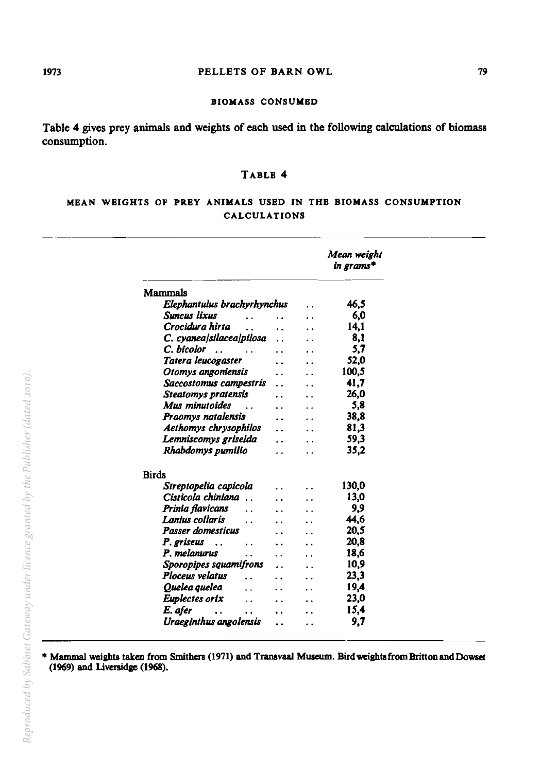### 1973 **PELLETS OF BARN OWL** 79

#### BIOMASS CONSUMBD

Table 4 gives prey animals and weights of each used in the following calculations of biomass consumption.

## TABLB 4

## MBAN WBIGHTS OF PRBY ANIMALS USBD IN THB BIOMASS CONSUMPTION CALCULATIONS

|                             | Mean weight<br>in grams* |
|-----------------------------|--------------------------|
| Mammals                     |                          |
| Elephantulus brachyrhynchus | 46.5                     |
| Suncus lixus                | 6,0                      |
| Crocidura hirta             | 14,1                     |
| C. cyanea/silacea/pilosa    | 8.1                      |
| C. bicolor                  | 5,7                      |
| Tatera leucogaster          | 52.0                     |
| Otomys angoniensis          | 100.5                    |
| Saccostomus campestris      | 41.7                     |
| <b>Steatomys pratensis</b>  | 26.0                     |
| Mus minutoides              | 5,8                      |
| Praomys natalensis          | 38,8                     |
| Aethomys chrysophilos       | 81,3                     |
| Lemniscomys griselda        | 59.3                     |
| Rhabdomys pumilio           | 35,2                     |
| <b>Birds</b>                |                          |
| Streptopelia capicola       | 130,0                    |
| Cisticola chiniana          | 13,0                     |
| Prinia flavicans            | 9,9                      |
| Lanius collaris             | 44.6                     |
| <b>Passer domesticus</b>    | 20,5                     |
| P. griseus                  | 20.8                     |
| P. melanurus<br>. .         | 18.6                     |
| Sporopipes squamifrons      | 10.9                     |
| Ploceus velatus<br>. .      | 23,3                     |
| Quelea quelea               | 19.4                     |
| Euplectes orix              | 23,0                     |
| E. afer                     | 15,4                     |
| Uraeginthus angolensis      | 9,7                      |

• Mammal weights taken from Smithers (1971) and Transvaal Museum. Bird weights from Britton andDowset (1969) and Liversidge (1968).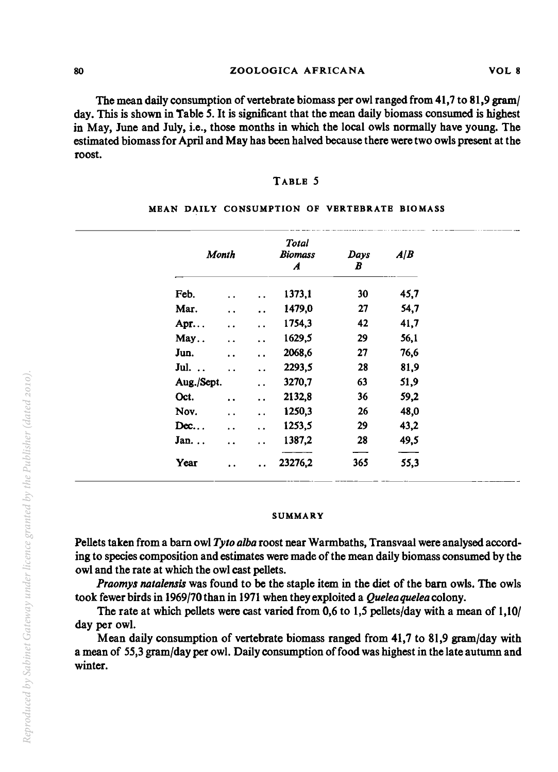### 80 ZOOLOGICA AFRICANA VOL 8

The mean daily consumption of vertebrate biomass per owl ranged from 41,7 to 81,9 gram/ day. This is shown in Table 5. It is significant that the mean daily biomass consumed is highest in May, June and July, i.e., those months in which the local owls normally have young. The estimated biomass for April and May has been halved because there were two owls present at the roost.

### TABLE 5

| Month       |                        |                      | <b>Total</b><br><b>Biomass</b><br>$\boldsymbol{A}$ | Days<br>B | A/B  |
|-------------|------------------------|----------------------|----------------------------------------------------|-----------|------|
| Feb.        | $\ddot{\phantom{0}}$   | $\ddot{\phantom{a}}$ | 1373,1                                             | 30        | 45,7 |
| Mar.        | $\ddot{\phantom{a}}$   | $\ddot{\phantom{a}}$ | 1479,0                                             | 27        | 54,7 |
| Apr         | $\ddot{\phantom{a}}$   | $\ddot{\phantom{0}}$ | 1754,3                                             | 42        | 41,7 |
| May         | $\ddot{\phantom{a}}$   | . .                  | 1629,5                                             | 29        | 56,1 |
| Jun.        | $\ddot{\phantom{a}}$   | $\ddot{\phantom{a}}$ | 2068,6                                             | 27        | 76,6 |
| Jul.        | $\ddot{\phantom{0}}$   | $\ddot{\phantom{a}}$ | 2293,5                                             | 28        | 81,9 |
| Aug./Sept.  |                        | $\ddot{\phantom{0}}$ | 3270,7                                             | 63        | 51,9 |
| Oct.        | $\ddot{\phantom{a}}$   | $\ddot{\phantom{a}}$ | 2132,8                                             | 36        | 59,2 |
| Nov.        | $\ddot{\phantom{1}}$ . | $\ddot{\phantom{0}}$ | 1250,3                                             | 26        | 48,0 |
| Dec         | $\ddot{\phantom{1}}$   | $\ddot{\phantom{a}}$ | 1253,5                                             | 29        | 43,2 |
| Jan         | $\ddot{\phantom{a}}$   | $\ddot{\phantom{0}}$ | 1387,2                                             | 28        | 49,5 |
| <b>Year</b> | $\ddot{\phantom{0}}$   | $\ddot{\phantom{a}}$ | 23276,2                                            | 365       | 55,3 |

#### MEAN DAILY CONSUMPTION OF VERTEBRATE BIOMASS

#### SUMMARY

Pellets taken from a bam owl *Tylo alba* roost near Warmbaths, Transvaal were analysed according to species composition and estimates were made of the mean daily biomass consumed by the owl and the rate at which the owl cast pellets.

*Praomys nalalensis* was found to be the staple item in the diet of the bam owls. The owls took fewer birds in 1969/10 than in 1971 when they exploited a *Queleaqueleacolony.* 

The rate at which pellets were cast varied from 0,6 to 1,5 pellets/day with a mean of 1,10/ day per owl.

Mean daily consumption of vertebrate biomass ranged from 41,7 to 81,9 gram/day with a mean of 55,3 gram/day per owl. Daily consumption of food was highest in the late autumn and winter.